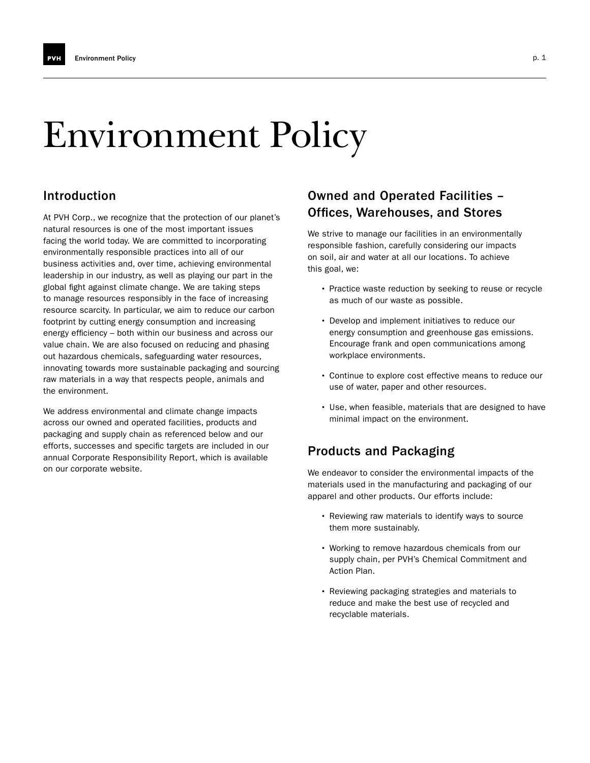# Environment Policy

## Introduction

At PVH Corp., we recognize that the protection of our planet's natural resources is one of the most important issues facing the world today. We are committed to incorporating environmentally responsible practices into all of our business activities and, over time, achieving environmental leadership in our industry, as well as playing our part in the global fight against climate change. We are taking steps to manage resources responsibly in the face of increasing resource scarcity. In particular, we aim to reduce our carbon footprint by cutting energy consumption and increasing energy efficiency – both within our business and across our value chain. We are also focused on reducing and phasing out hazardous chemicals, safeguarding water resources, innovating towards more sustainable packaging and sourcing raw materials in a way that respects people, animals and the environment.

We address environmental and climate change impacts across our owned and operated facilities, products and packaging and supply chain as referenced below and our efforts, successes and specific targets are included in our annual Corporate Responsibility Report, which is available on our corporate website.

## Owned and Operated Facilities – Offices, Warehouses, and Stores

We strive to manage our facilities in an environmentally responsible fashion, carefully considering our impacts on soil, air and water at all our locations. To achieve this goal, we:

- Practice waste reduction by seeking to reuse or recycle as much of our waste as possible.
- Develop and implement initiatives to reduce our energy consumption and greenhouse gas emissions. Encourage frank and open communications among workplace environments.
- Continue to explore cost effective means to reduce our use of water, paper and other resources.
- Use, when feasible, materials that are designed to have minimal impact on the environment.

# Products and Packaging

We endeavor to consider the environmental impacts of the materials used in the manufacturing and packaging of our apparel and other products. Our efforts include:

- Reviewing raw materials to identify ways to source them more sustainably.
- Working to remove hazardous chemicals from our supply chain, per PVH's Chemical Commitment and Action Plan.
- Reviewing packaging strategies and materials to reduce and make the best use of recycled and recyclable materials.